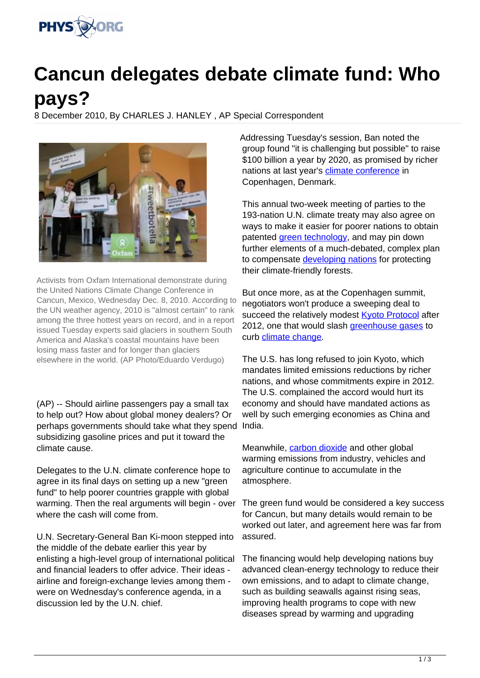

## **Cancun delegates debate climate fund: Who pays?**

8 December 2010, By CHARLES J. HANLEY , AP Special Correspondent



Activists from Oxfam International demonstrate during the United Nations Climate Change Conference in Cancun, Mexico, Wednesday Dec. 8, 2010. According to the UN weather agency, 2010 is "almost certain" to rank among the three hottest years on record, and in a report issued Tuesday experts said glaciers in southern South America and Alaska's coastal mountains have been losing mass faster and for longer than glaciers elsewhere in the world. (AP Photo/Eduardo Verdugo)

(AP) -- Should airline passengers pay a small tax to help out? How about global money dealers? Or perhaps governments should take what they spend India. subsidizing gasoline prices and put it toward the climate cause.

Delegates to the U.N. climate conference hope to agree in its final days on setting up a new "green fund" to help poorer countries grapple with global warming. Then the real arguments will begin - over where the cash will come from.

U.N. Secretary-General Ban Ki-moon stepped into the middle of the debate earlier this year by enlisting a high-level group of international political and financial leaders to offer advice. Their ideas airline and foreign-exchange levies among them were on Wednesday's conference agenda, in a discussion led by the U.N. chief.

Addressing Tuesday's session, Ban noted the group found "it is challenging but possible" to raise \$100 billion a year by 2020, as promised by richer nations at last year's [climate conference](https://phys.org/tags/climate+conference/) in Copenhagen, Denmark.

This annual two-week meeting of parties to the 193-nation U.N. climate treaty may also agree on ways to make it easier for poorer nations to obtain patented [green technology,](https://phys.org/tags/green+technology/) and may pin down further elements of a much-debated, complex plan to compensate [developing nations](https://phys.org/tags/developing+nations/) for protecting their climate-friendly forests.

But once more, as at the Copenhagen summit, negotiators won't produce a sweeping deal to succeed the relatively modest **Kyoto Protocol** after 2012, one that would slash [greenhouse gases](https://phys.org/tags/greenhouse+gases/) to curb [climate change.](https://phys.org/tags/climate+change/)

The U.S. has long refused to join Kyoto, which mandates limited emissions reductions by richer nations, and whose commitments expire in 2012. The U.S. complained the accord would hurt its economy and should have mandated actions as well by such emerging economies as China and

Meanwhile, [carbon dioxide](https://phys.org/tags/carbon+dioxide/) and other global warming emissions from industry, vehicles and agriculture continue to accumulate in the atmosphere.

The green fund would be considered a key success for Cancun, but many details would remain to be worked out later, and agreement here was far from assured.

The financing would help developing nations buy advanced clean-energy technology to reduce their own emissions, and to adapt to climate change, such as building seawalls against rising seas, improving health programs to cope with new diseases spread by warming and upgrading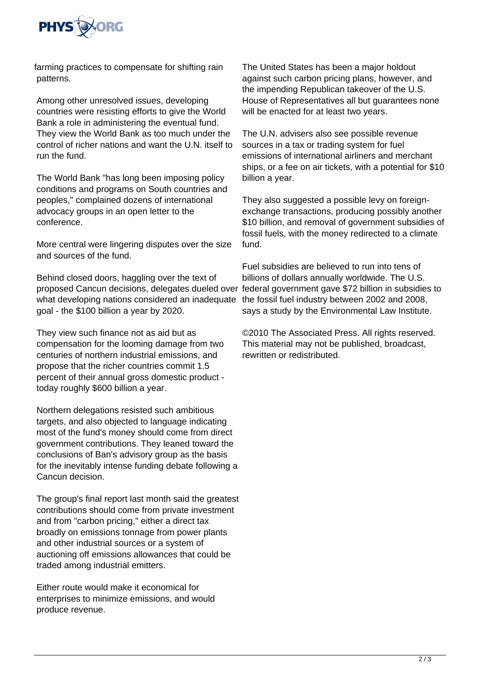

farming practices to compensate for shifting rain patterns.

Among other unresolved issues, developing countries were resisting efforts to give the World Bank a role in administering the eventual fund. They view the World Bank as too much under the control of richer nations and want the U.N. itself to run the fund.

The World Bank "has long been imposing policy conditions and programs on South countries and peoples," complained dozens of international advocacy groups in an open letter to the conference.

More central were lingering disputes over the size and sources of the fund.

Behind closed doors, haggling over the text of proposed Cancun decisions, delegates dueled over federal government gave \$72 billion in subsidies to what developing nations considered an inadequate goal - the \$100 billion a year by 2020.

They view such finance not as aid but as compensation for the looming damage from two centuries of northern industrial emissions, and propose that the richer countries commit 1.5 percent of their annual gross domestic product today roughly \$600 billion a year.

Northern delegations resisted such ambitious targets, and also objected to language indicating most of the fund's money should come from direct government contributions. They leaned toward the conclusions of Ban's advisory group as the basis for the inevitably intense funding debate following a Cancun decision.

The group's final report last month said the greatest contributions should come from private investment and from "carbon pricing," either a direct tax broadly on emissions tonnage from power plants and other industrial sources or a system of auctioning off emissions allowances that could be traded among industrial emitters.

Either route would make it economical for enterprises to minimize emissions, and would produce revenue.

The United States has been a major holdout against such carbon pricing plans, however, and the impending Republican takeover of the U.S. House of Representatives all but guarantees none will be enacted for at least two years.

The U.N. advisers also see possible revenue sources in a tax or trading system for fuel emissions of international airliners and merchant ships, or a fee on air tickets, with a potential for \$10 billion a year.

They also suggested a possible levy on foreignexchange transactions, producing possibly another \$10 billion, and removal of government subsidies of fossil fuels, with the money redirected to a climate fund.

Fuel subsidies are believed to run into tens of billions of dollars annually worldwide. The U.S. the fossil fuel industry between 2002 and 2008, says a study by the Environmental Law Institute.

©2010 The Associated Press. All rights reserved. This material may not be published, broadcast, rewritten or redistributed.